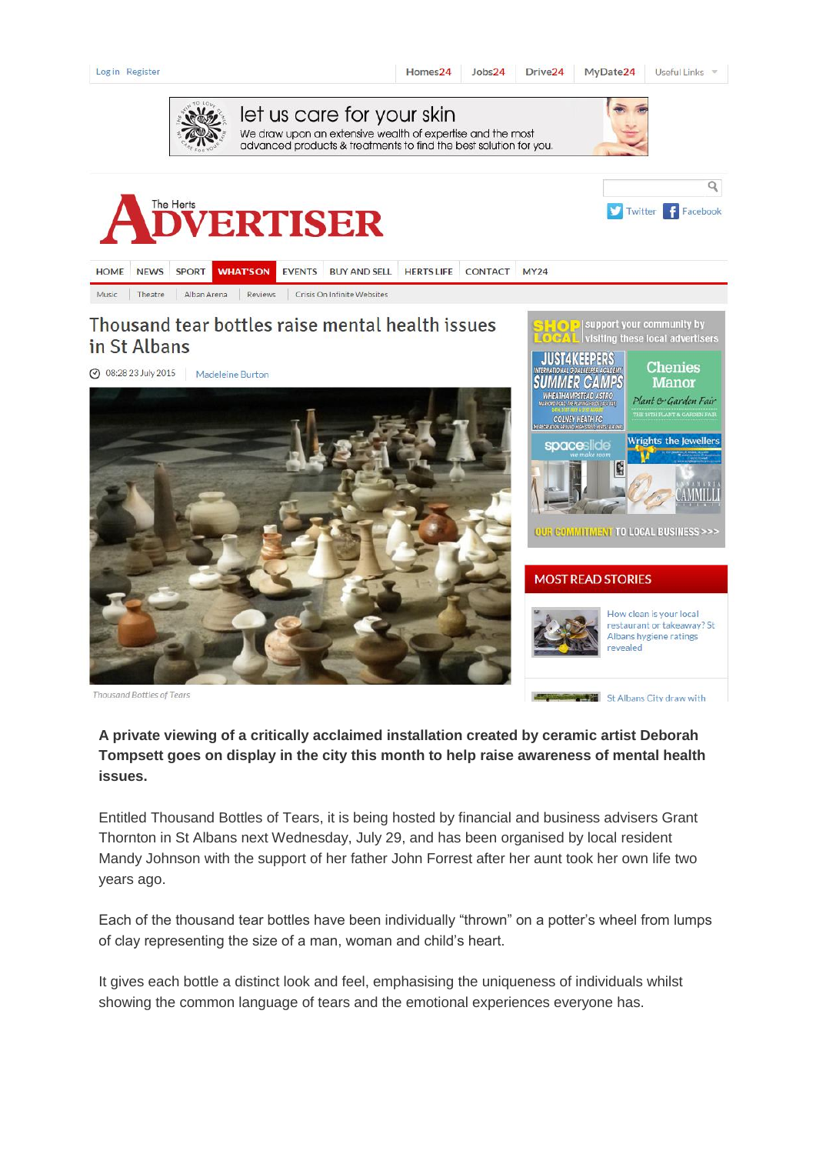| Log in Register                                                                                                                                              |                                                          | Homes <sub>24</sub> | Jobs24         | Drive <sub>24</sub> | MyDate24                                                                                                                                                                                             | Useful Links v                                                                                                                                                                                                    |
|--------------------------------------------------------------------------------------------------------------------------------------------------------------|----------------------------------------------------------|---------------------|----------------|---------------------|------------------------------------------------------------------------------------------------------------------------------------------------------------------------------------------------------|-------------------------------------------------------------------------------------------------------------------------------------------------------------------------------------------------------------------|
| let us care for your skin<br>We draw upon an extensive wealth of expertise and the most<br>advanced products & treatments to find the best solution for you. |                                                          |                     |                |                     |                                                                                                                                                                                                      |                                                                                                                                                                                                                   |
|                                                                                                                                                              | <b>ADVERTISER</b>                                        |                     |                |                     |                                                                                                                                                                                                      | Q<br>Twitter Facebook                                                                                                                                                                                             |
| <b>HOME</b><br><b>NEWS</b><br><b>SPORT</b>                                                                                                                   | <b>EVENTS</b><br><b>BUY AND SELL</b><br><b>WHAT'S ON</b> | <b>HERTS LIFE</b>   | <b>CONTACT</b> | <b>MY24</b>         |                                                                                                                                                                                                      |                                                                                                                                                                                                                   |
| Theatre<br>Alban Arena<br>Music                                                                                                                              | Reviews<br>Crisis On Infinite Websites                   |                     |                |                     |                                                                                                                                                                                                      |                                                                                                                                                                                                                   |
| in St Albans<br>2015 08:28 23 July 2015<br>Madeleine Burton                                                                                                  | Thousand tear bottles raise mental health issues         |                     |                |                     | support your community by<br><b>WHEATHAMPSTEAD ASTRO</b><br>Warford Poad! The Playing Pelds (Ala Pat)<br><b>COLNEY HEATH FC</b><br>THE RECIPATION GROUND WICH STREET WERTS (ALCOM<br>spaceslide<br>B | visiting these local advertisers<br><b>Chenies</b><br><b>Manor</b><br>Plant & Garden Fair<br>THE 16TH PLANT & GARDEN FAIR<br><b>Wrights the Jewellers</b><br><b>OUR COMMITMENT TO LOCAL BUSINESS &gt;&gt;&gt;</b> |
| <b>Thousand Bottles of Tears</b>                                                                                                                             |                                                          |                     |                |                     | <b>MOST READ STORIES</b><br>revealed<br>St Albans City draw with                                                                                                                                     | How clean is your local<br>restaurant or takeaway? St<br>Albans hygiene ratings                                                                                                                                   |

## **A private viewing of a critically acclaimed installation created by ceramic artist Deborah Tompsett goes on display in the city this month to help raise awareness of mental health issues.**

Entitled Thousand Bottles of Tears, it is being hosted by financial and business advisers Grant Thornton in St Albans next Wednesday, July 29, and has been organised by local resident Mandy Johnson with the support of her father John Forrest after her aunt took her own life two years ago.

Each of the thousand tear bottles have been individually "thrown" on a potter's wheel from lumps of clay representing the size of a man, woman and child's heart.

It gives each bottle a distinct look and feel, emphasising the uniqueness of individuals whilst showing the common language of tears and the emotional experiences everyone has.